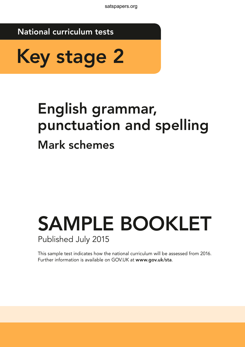## National curriculum tests



# English grammar, punctuation and spelling Mark schemes

# SAMPLE BOOKLET Published July 2015

This sample test indicates how the national curriculum will be assessed from 2016. Further information is available on GOV.UK at www.gov.uk/sta.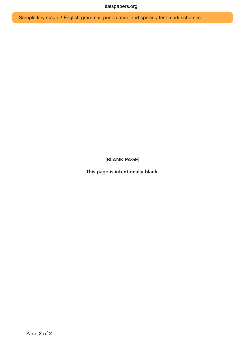[BLANK PAGE]

This page is intentionally blank.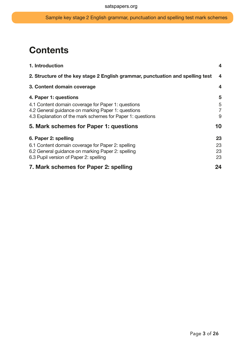## **Contents**

| 1. Introduction                                                                | $\overline{\mathbf{4}}$ |
|--------------------------------------------------------------------------------|-------------------------|
| 2. Structure of the key stage 2 English grammar, punctuation and spelling test | 4                       |
| 3. Content domain coverage                                                     | 4                       |
| 4. Paper 1: questions                                                          | 5                       |
| 4.1 Content domain coverage for Paper 1: questions                             | 5                       |
| 4.2 General guidance on marking Paper 1: questions                             | $\overline{7}$          |
| 4.3 Explanation of the mark schemes for Paper 1: questions                     | 9                       |
| 5. Mark schemes for Paper 1: questions                                         | 10                      |
| 6. Paper 2: spelling                                                           | 23                      |
| 6.1 Content domain coverage for Paper 2: spelling                              | 23                      |
| 6.2 General guidance on marking Paper 2: spelling                              | 23                      |
| 6.3 Pupil version of Paper 2: spelling                                         | 23                      |
| 7. Mark schemes for Paper 2: spelling                                          | 24                      |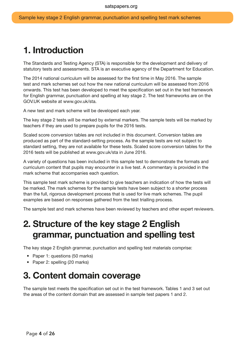## <span id="page-3-0"></span>1. Introduction

The Standards and Testing Agency (STA) is responsible for the development and delivery of statutory tests and assessments. STA is an executive agency of the Department for Education.

The 2014 national curriculum will be assessed for the first time in May 2016. The sample test and mark schemes set out how the new national curriculum will be assessed from 2016 onwards. This test has been developed to meet the specification set out in the test framework for English grammar, punctuation and spelling at key stage 2. The test frameworks are on the GOV.UK website at www.gov.uk/sta.

A new test and mark scheme will be developed each year.

The key stage 2 tests will be marked by external markers. The sample tests will be marked by teachers if they are used to prepare pupils for the 2016 tests.

Scaled score conversion tables are not included in this document. Conversion tables are produced as part of the standard-setting process. As the sample tests are not subject to standard setting, they are not available for these tests. Scaled score conversion tables for the 2016 tests will be published at www.gov.uk/sta in June 2016.

A variety of questions has been included in this sample test to demonstrate the formats and curriculum content that pupils may encounter in a live test. A commentary is provided in the mark scheme that accompanies each question.

This sample test mark scheme is provided to give teachers an indication of how the tests will be marked. The mark schemes for the sample tests have been subject to a shorter process than the full, rigorous development process that is used for live mark schemes. The pupil examples are based on responses gathered from the test trialling process.

The sample test and mark schemes have been reviewed by teachers and other expert reviewers.

## 2. Structure of the key stage 2 English grammar, punctuation and spelling test

The key stage 2 English grammar, punctuation and spelling test materials comprise:

- Paper 1: questions (50 marks)
- Paper 2: spelling (20 marks)

## 3. Content domain coverage

The sample test meets the specification set out in the test framework. Tables 1 and 3 set out the areas of the content domain that are assessed in sample test papers 1 and 2.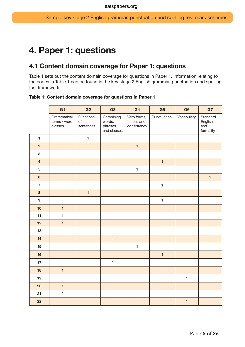## <span id="page-4-0"></span>4. Paper 1: questions

### 4.1 Content domain coverage for Paper 1: questions

Table 1 sets out the content domain coverage for questions in Paper 1. Information relating to the codes in Table 1 can be found in the key stage 2 English grammar, punctuation and spelling test framework.

#### Table 1: Content domain coverage for questions in Paper 1

|                         | G <sub>1</sub>                         | G <sub>2</sub>               | G <sub>3</sub>                                | G <sub>4</sub>                           | G <sub>5</sub> | G <sub>6</sub> | G7                                      |
|-------------------------|----------------------------------------|------------------------------|-----------------------------------------------|------------------------------------------|----------------|----------------|-----------------------------------------|
|                         | Grammatical<br>terms / word<br>classes | Functions<br>of<br>sentences | Combining<br>words,<br>phrases<br>and clauses | Verb forms,<br>tenses and<br>consistency | Punctuation    | Vocabulary     | Standard<br>English<br>and<br>formality |
| $\blacksquare$          |                                        | $\mathbf{1}$                 |                                               |                                          |                |                |                                         |
| $\overline{\mathbf{2}}$ |                                        |                              |                                               | $\mathbf{1}$                             |                |                |                                         |
| $\mathbf 3$             |                                        |                              |                                               |                                          |                | $\mathbf{1}$   |                                         |
| $\overline{\mathbf{4}}$ |                                        |                              |                                               |                                          | $\mathbf{1}$   |                |                                         |
| 5                       |                                        |                              |                                               | $\mathbf{1}$                             |                |                |                                         |
| $\bf 6$                 |                                        |                              |                                               |                                          |                |                | $\mathbf{1}$                            |
| $\overline{7}$          |                                        |                              |                                               |                                          | $\mathbf{1}$   |                |                                         |
| $\bf{8}$                |                                        | $\mathbf{1}$                 |                                               |                                          |                |                |                                         |
| $\boldsymbol{9}$        |                                        |                              |                                               |                                          | $\mathbf{1}$   |                |                                         |
| 10                      | $\mathbf{1}$                           |                              |                                               |                                          |                |                |                                         |
| 11                      | $\mathbf{1}$                           |                              |                                               |                                          |                |                |                                         |
| 12                      | $\mathbf{1}$                           |                              |                                               |                                          |                |                |                                         |
| 13                      |                                        |                              | $\mathbf{1}$                                  |                                          |                |                |                                         |
| 14                      |                                        |                              | $\mathbf{1}$                                  |                                          |                |                |                                         |
| 15                      |                                        |                              |                                               | $\mathbf{1}$                             |                |                |                                         |
| 16                      |                                        |                              |                                               |                                          | $\mathbf{1}$   |                |                                         |
| 17                      |                                        |                              | $\mathbf{1}$                                  |                                          |                |                |                                         |
| 18                      | $\mathbf{1}$                           |                              |                                               |                                          |                |                |                                         |
| 19                      |                                        |                              |                                               |                                          |                | $\mathbf{1}$   |                                         |
| 20                      | $\mathbf{1}$                           |                              |                                               |                                          |                |                |                                         |
| 21                      | $\overline{c}$                         |                              |                                               |                                          |                |                |                                         |
| 22                      |                                        |                              |                                               |                                          |                | $\mathbf{1}$   |                                         |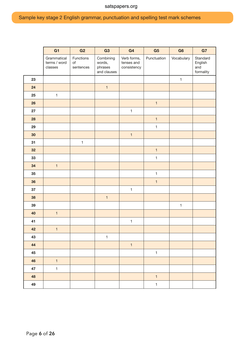|    | G1                                     | G <sub>2</sub>               | G3                                            | G <sub>4</sub>                           | G <sub>5</sub> | G <sub>6</sub> | G7                                      |
|----|----------------------------------------|------------------------------|-----------------------------------------------|------------------------------------------|----------------|----------------|-----------------------------------------|
|    | Grammatical<br>terms / word<br>classes | Functions<br>of<br>sentences | Combining<br>words,<br>phrases<br>and clauses | Verb forms,<br>tenses and<br>consistency | Punctuation    | Vocabulary     | Standard<br>English<br>and<br>formality |
| 23 |                                        |                              |                                               |                                          |                | $\mathbf{1}$   |                                         |
| 24 |                                        |                              | $\mathbf{1}$                                  |                                          |                |                |                                         |
| 25 | $\mathbf{1}$                           |                              |                                               |                                          |                |                |                                         |
| 26 |                                        |                              |                                               |                                          | $\mathbf{1}$   |                |                                         |
| 27 |                                        |                              |                                               | $\mathbf 1$                              |                |                |                                         |
| 28 |                                        |                              |                                               |                                          | $\mathbf{1}$   |                |                                         |
| 29 |                                        |                              |                                               |                                          | $\mathbf{1}$   |                |                                         |
| 30 |                                        |                              |                                               | $\mathbf{1}$                             |                |                |                                         |
| 31 |                                        | $\mathbf{1}$                 |                                               |                                          |                |                |                                         |
| 32 |                                        |                              |                                               |                                          | $\mathbf{1}$   |                |                                         |
| 33 |                                        |                              |                                               |                                          | $\mathbf 1$    |                |                                         |
| 34 | $\mathbf{1}$                           |                              |                                               |                                          |                |                |                                         |
| 35 |                                        |                              |                                               |                                          | $\mathbf 1$    |                |                                         |
| 36 |                                        |                              |                                               |                                          | $\mathbf{1}$   |                |                                         |
| 37 |                                        |                              |                                               | $\mathbf{1}$                             |                |                |                                         |
| 38 |                                        |                              | $\mathbf{1}$                                  |                                          |                |                |                                         |
| 39 |                                        |                              |                                               |                                          |                | $\mathbf{1}$   |                                         |
| 40 | $\mathbf{1}$                           |                              |                                               |                                          |                |                |                                         |
| 41 |                                        |                              |                                               | $\mathbf 1$                              |                |                |                                         |
| 42 | 1                                      |                              |                                               |                                          |                |                |                                         |
| 43 |                                        |                              | $\mathbf{1}$                                  |                                          |                |                |                                         |
| 44 |                                        |                              |                                               | $\mathbf{1}$                             |                |                |                                         |
| 45 |                                        |                              |                                               |                                          | $\mathbf{1}$   |                |                                         |
| 46 | $\mathbf{1}$                           |                              |                                               |                                          |                |                |                                         |
| 47 | $\mathbf{1}$                           |                              |                                               |                                          |                |                |                                         |
| 48 |                                        |                              |                                               |                                          | $\mathbf{1}$   |                |                                         |
| 49 |                                        |                              |                                               |                                          | $\mathbf{1}$   |                |                                         |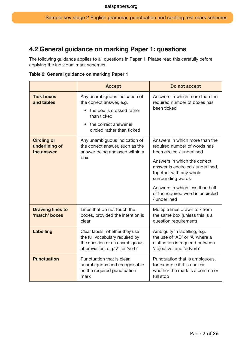## <span id="page-6-0"></span>4.2 General guidance on marking Paper 1: questions

The following guidance applies to all questions in Paper 1. Please read this carefully before applying the individual mark schemes.

|  |  |  | Table 2: General guidance on marking Paper 1 |  |  |  |  |
|--|--|--|----------------------------------------------|--|--|--|--|
|--|--|--|----------------------------------------------|--|--|--|--|

|                                                    | <b>Accept</b>                                                                                                                                                             | Do not accept                                                                                                                                                                                                                                                                                            |
|----------------------------------------------------|---------------------------------------------------------------------------------------------------------------------------------------------------------------------------|----------------------------------------------------------------------------------------------------------------------------------------------------------------------------------------------------------------------------------------------------------------------------------------------------------|
| <b>Tick boxes</b><br>and tables                    | Any unambiguous indication of<br>the correct answer, e.g.<br>the box is crossed rather<br>than ticked<br>the correct answer is<br>$\bullet$<br>circled rather than ticked | Answers in which more than the<br>required number of boxes has<br>been ticked                                                                                                                                                                                                                            |
| <b>Circling or</b><br>underlining of<br>the answer | Any unambiguous indication of<br>the correct answer, such as the<br>answer being enclosed within a<br>box                                                                 | Answers in which more than the<br>required number of words has<br>been circled / underlined<br>Answers in which the correct<br>answer is encircled / underlined,<br>together with any whole<br>surrounding words<br>Answers in which less than half<br>of the required word is encircled<br>/ underlined |
| <b>Drawing lines to</b><br>'match' boxes           | Lines that do not touch the<br>boxes, provided the intention is<br>clear                                                                                                  | Multiple lines drawn to / from<br>the same box (unless this is a<br>question requirement)                                                                                                                                                                                                                |
| <b>Labelling</b>                                   | Clear labels, whether they use<br>the full vocabulary required by<br>the question or an unambiguous<br>abbreviation, e.g.'V' for 'verb'                                   | Ambiguity in labelling, e.g.<br>the use of 'AD' or 'A' where a<br>distinction is required between<br>'adjective' and 'adverb'                                                                                                                                                                            |
| <b>Punctuation</b>                                 | Punctuation that is clear,<br>unambiguous and recognisable<br>as the required punctuation<br>mark                                                                         | Punctuation that is ambiguous,<br>for example if it is unclear<br>whether the mark is a comma or<br>full stop                                                                                                                                                                                            |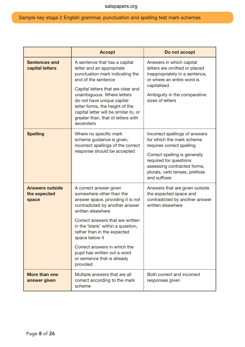|                                                 | <b>Accept</b>                                                                                                                                                                                                                                                                                                                                                                       | Do not accept                                                                                                                                                                                                                        |
|-------------------------------------------------|-------------------------------------------------------------------------------------------------------------------------------------------------------------------------------------------------------------------------------------------------------------------------------------------------------------------------------------------------------------------------------------|--------------------------------------------------------------------------------------------------------------------------------------------------------------------------------------------------------------------------------------|
| <b>Sentences and</b><br>capital letters         | A sentence that has a capital<br>letter and an appropriate<br>punctuation mark indicating the<br>end of the sentence<br>Capital letters that are clear and<br>unambiguous. Where letters<br>do not have unique capital<br>letter forms, the height of the<br>capital letter will be similar to, or<br>greater than, that of letters with<br>ascenders                               | Answers in which capital<br>letters are omitted or placed<br>inappropriately in a sentence,<br>or where an entire word is<br>capitalised<br>Ambiguity in the comparative<br>sizes of letters                                         |
| <b>Spelling</b>                                 | Where no specific mark<br>scheme guidance is given,<br>incorrect spellings of the correct<br>response should be accepted                                                                                                                                                                                                                                                            | Incorrect spellings of answers<br>for which the mark scheme<br>requires correct spelling<br>Correct spelling is generally<br>required for questions<br>assessing contracted forms,<br>plurals, verb tenses, prefixes<br>and suffixes |
| <b>Answers outside</b><br>the expected<br>space | A correct answer given<br>somewhere other than the<br>answer space, providing it is not<br>contradicted by another answer<br>written elsewhere<br>Correct answers that are written<br>in the 'blank' within a question,<br>rather than in the expected<br>space below it<br>Correct answers in which the<br>pupil has written out a word<br>or sentence that is already<br>provided | Answers that are given outside<br>the expected space and<br>contradicted by another answer<br>written elsewhere                                                                                                                      |
| More than one<br>answer given                   | Multiple answers that are all<br>correct according to the mark<br>scheme                                                                                                                                                                                                                                                                                                            | Both correct and incorrect<br>responses given                                                                                                                                                                                        |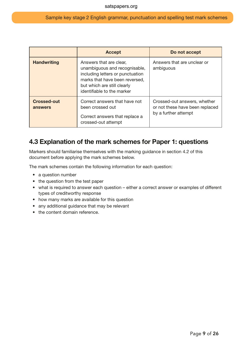<span id="page-8-0"></span>

|                                                                                                                                             | <b>Accept</b>                                                                                                                                                                               | Do not accept                                                                           |
|---------------------------------------------------------------------------------------------------------------------------------------------|---------------------------------------------------------------------------------------------------------------------------------------------------------------------------------------------|-----------------------------------------------------------------------------------------|
| <b>Handwriting</b>                                                                                                                          | Answers that are clear,<br>unambiguous and recognisable,<br>including letters or punctuation<br>marks that have been reversed,<br>but which are still clearly<br>identifiable to the marker | Answers that are unclear or<br>ambiguous                                                |
| <b>Crossed-out</b><br>Correct answers that have not<br>been crossed out<br>answers<br>Correct answers that replace a<br>crossed-out attempt |                                                                                                                                                                                             | Crossed-out answers, whether<br>or not these have been replaced<br>by a further attempt |

### 4.3 Explanation of the mark schemes for Paper 1: questions

Markers should familiarise themselves with the marking guidance in section 4.2 of this document before applying the mark schemes below.

The mark schemes contain the following information for each question:

- a question number
- the question from the test paper
- what is required to answer each question either a correct answer or examples of different types of creditworthy response
- how many marks are available for this question
- any additional guidance that may be relevant
- the content domain reference.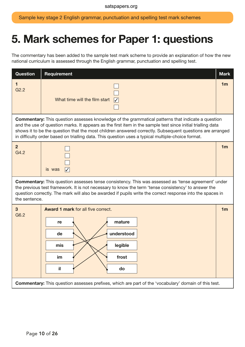## <span id="page-9-0"></span>5. Mark schemes for Paper 1: questions

The commentary has been added to the sample test mark scheme to provide an explanation of how the new national curriculum is assessed through the English grammar, punctuation and spelling test.

| <b>Question</b>        | <b>Requirement</b>                                                                                                                                                                                                                                                                                                                                                                                                                       | <b>Mark</b>    |
|------------------------|------------------------------------------------------------------------------------------------------------------------------------------------------------------------------------------------------------------------------------------------------------------------------------------------------------------------------------------------------------------------------------------------------------------------------------------|----------------|
| 1<br>G2.2              | What time will the film start                                                                                                                                                                                                                                                                                                                                                                                                            | 1 <sub>m</sub> |
|                        | <b>Commentary:</b> This question assesses knowledge of the grammatical patterns that indicate a question<br>and the use of question marks. It appears as the first item in the sample test since initial trialling data<br>shows it to be the question that the most children answered correctly. Subsequent questions are arranged<br>in difficulty order based on trialling data. This question uses a typical multiple-choice format. |                |
| 2 <sup>2</sup><br>G4.2 | is was<br>$\boldsymbol{V}$                                                                                                                                                                                                                                                                                                                                                                                                               | 1 <sub>m</sub> |
| the sentence.          | <b>Commentary:</b> This question assesses tense consistency. This was assessed as 'tense agreement' under<br>the previous test framework. It is not necessary to know the term 'tense consistency' to answer the<br>question correctly. The mark will also be awarded if pupils write the correct response into the spaces in                                                                                                            |                |
| 3<br>G6.2              | <b>Award 1 mark for all five correct.</b><br>mature<br>re<br>understood<br>de<br>legible<br>mis<br>frost<br>im<br>il.<br>do                                                                                                                                                                                                                                                                                                              | 1 <sub>m</sub> |
|                        | <b>Commentary:</b> This question assesses prefixes, which are part of the 'vocabulary' domain of this test.                                                                                                                                                                                                                                                                                                                              |                |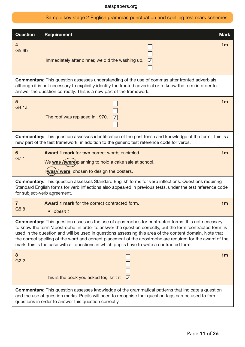| Question                                                                                                                                                                                                                                                                                                                                                                                                                                                                                                                                        | <b>Requirement</b>                                                                                                                                                                                                                                                                         | <b>Mark</b>    |  |  |
|-------------------------------------------------------------------------------------------------------------------------------------------------------------------------------------------------------------------------------------------------------------------------------------------------------------------------------------------------------------------------------------------------------------------------------------------------------------------------------------------------------------------------------------------------|--------------------------------------------------------------------------------------------------------------------------------------------------------------------------------------------------------------------------------------------------------------------------------------------|----------------|--|--|
| $\overline{\mathbf{4}}$<br>G5.6b                                                                                                                                                                                                                                                                                                                                                                                                                                                                                                                | Immediately after dinner, we did the washing up.                                                                                                                                                                                                                                           | 1 <sub>m</sub> |  |  |
|                                                                                                                                                                                                                                                                                                                                                                                                                                                                                                                                                 | <b>Commentary:</b> This question assesses understanding of the use of commas after fronted adverbials,<br>although it is not necessary to explicitly identify the fronted adverbial or to know the term in order to<br>answer the question correctly. This is a new part of the framework. |                |  |  |
| $5\phantom{1}$<br>G4.1a                                                                                                                                                                                                                                                                                                                                                                                                                                                                                                                         | The roof was replaced in 1970.<br>$\vert\mathcal{V}\vert$                                                                                                                                                                                                                                  | 1 <sub>m</sub> |  |  |
|                                                                                                                                                                                                                                                                                                                                                                                                                                                                                                                                                 | <b>Commentary:</b> This question assesses identification of the past tense and knowledge of the term. This is a<br>new part of the test framework, in addition to the generic test reference code for verbs.                                                                               |                |  |  |
| 6<br>G7.1                                                                                                                                                                                                                                                                                                                                                                                                                                                                                                                                       | <b>Award 1 mark for two correct words encircled.</b><br>We was /(were) planning to hold a cake sale at school.<br>was)/ were chosen to design the posters.                                                                                                                                 | 1 <sub>m</sub> |  |  |
|                                                                                                                                                                                                                                                                                                                                                                                                                                                                                                                                                 | <b>Commentary:</b> This question assesses Standard English forms for verb inflections. Questions requiring<br>Standard English forms for verb inflections also appeared in previous tests, under the test reference code<br>for subject-verb agreement.                                    |                |  |  |
| 7<br>G5.8                                                                                                                                                                                                                                                                                                                                                                                                                                                                                                                                       | <b>Award 1 mark</b> for the correct contracted form.<br>· doesn't                                                                                                                                                                                                                          | 1 <sub>m</sub> |  |  |
| <b>Commentary:</b> This question assesses the use of apostrophes for contracted forms. It is not necessary<br>to know the term 'apostrophe' in order to answer the question correctly, but the term 'contracted form' is<br>used in the question and will be used in questions assessing this area of the content domain. Note that<br>the correct spelling of the word and correct placement of the apostrophe are required for the award of the<br>mark; this is the case with all questions in which pupils have to write a contracted form. |                                                                                                                                                                                                                                                                                            |                |  |  |
| 8<br>G2.2                                                                                                                                                                                                                                                                                                                                                                                                                                                                                                                                       | This is the book you asked for, isn't it                                                                                                                                                                                                                                                   | 1 <sub>m</sub> |  |  |
|                                                                                                                                                                                                                                                                                                                                                                                                                                                                                                                                                 | <b>Commentary:</b> This question assesses knowledge of the grammatical patterns that indicate a question<br>and the use of question marks. Pupils will need to recognise that question tags can be used to form<br>questions in order to answer this question correctly.                   |                |  |  |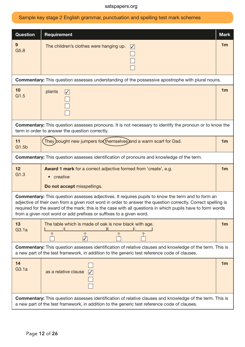| <b>Question</b>                                                                                                                                                                                                 | <b>Requirement</b>                                                                                                                                                                                                                                                                                                                                                                                            | <b>Mark</b>    |  |  |  |
|-----------------------------------------------------------------------------------------------------------------------------------------------------------------------------------------------------------------|---------------------------------------------------------------------------------------------------------------------------------------------------------------------------------------------------------------------------------------------------------------------------------------------------------------------------------------------------------------------------------------------------------------|----------------|--|--|--|
| 9 <sup>°</sup><br>G5.8                                                                                                                                                                                          | The children's clothes were hanging up.<br>$\vert\mathcal{V}\vert$                                                                                                                                                                                                                                                                                                                                            | 1 <sub>m</sub> |  |  |  |
|                                                                                                                                                                                                                 | Commentary: This question assesses understanding of the possessive apostrophe with plural nouns.                                                                                                                                                                                                                                                                                                              |                |  |  |  |
| 10<br>G1.5                                                                                                                                                                                                      | plants<br>$\sqrt{}$                                                                                                                                                                                                                                                                                                                                                                                           | 1 <sub>m</sub> |  |  |  |
|                                                                                                                                                                                                                 | <b>Commentary:</b> This question assesses pronouns. It is not necessary to identify the pronoun or to know the<br>term in order to answer the question correctly.                                                                                                                                                                                                                                             |                |  |  |  |
| 11<br>G1.5b                                                                                                                                                                                                     | They bought new jumpers for themselves) and a warm scarf for Dad.                                                                                                                                                                                                                                                                                                                                             | 1 <sub>m</sub> |  |  |  |
|                                                                                                                                                                                                                 | Commentary: This question assesses identification of pronouns and knowledge of the term.                                                                                                                                                                                                                                                                                                                      |                |  |  |  |
| 12<br>G1.3                                                                                                                                                                                                      | Award 1 mark for a correct adjective formed from 'create', e.g.<br>• creative<br>Do not accept misspellings.                                                                                                                                                                                                                                                                                                  | 1 <sub>m</sub> |  |  |  |
|                                                                                                                                                                                                                 | <b>Commentary:</b> This question assesses adjectives. It requires pupils to know the term and to form an<br>adjective of their own from a given root word in order to answer the question correctly. Correct spelling is<br>required for the award of the mark; this is the case with all questions in which pupils have to form words<br>from a given root word or add prefixes or suffixes to a given word. |                |  |  |  |
| 13<br>G3.1a                                                                                                                                                                                                     | The table which is made of oak is now black with age.                                                                                                                                                                                                                                                                                                                                                         | 1 <sub>m</sub> |  |  |  |
| <b>Commentary:</b> This question assesses identification of relative clauses and knowledge of the term. This is<br>a new part of the test framework, in addition to the generic test reference code of clauses. |                                                                                                                                                                                                                                                                                                                                                                                                               |                |  |  |  |
| 14<br>G3.1a                                                                                                                                                                                                     | as a relative clause                                                                                                                                                                                                                                                                                                                                                                                          | 1 <sub>m</sub> |  |  |  |
|                                                                                                                                                                                                                 | <b>Commentary:</b> This question assesses identification of relative clauses and knowledge of the term. This is<br>a new part of the test framework, in addition to the generic test reference code of clauses.                                                                                                                                                                                               |                |  |  |  |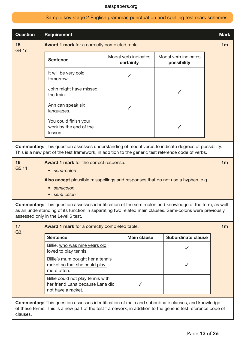## Sample key stage 2 English grammar, punctuation and spelling test mark schemes

| <b>Question</b> | <b>Requirement</b>                                                                                                                                                                                                                                      |                                   |                                     | <b>Mark</b>    |  |  |  |
|-----------------|---------------------------------------------------------------------------------------------------------------------------------------------------------------------------------------------------------------------------------------------------------|-----------------------------------|-------------------------------------|----------------|--|--|--|
| 15<br>G4.1c     | <b>Award 1 mark</b> for a correctly completed table.                                                                                                                                                                                                    |                                   |                                     |                |  |  |  |
|                 | <b>Sentence</b>                                                                                                                                                                                                                                         | Modal verb indicates<br>certainty | Modal verb indicates<br>possibility |                |  |  |  |
|                 | It will be very cold<br>tomorrow.                                                                                                                                                                                                                       | ✓                                 |                                     |                |  |  |  |
|                 | John might have missed<br>the train.                                                                                                                                                                                                                    |                                   | ✓                                   |                |  |  |  |
|                 | Ann can speak six<br>languages.                                                                                                                                                                                                                         | ✓                                 |                                     |                |  |  |  |
|                 | You could finish your<br>work by the end of the<br>lesson.                                                                                                                                                                                              |                                   | ✓                                   |                |  |  |  |
|                 | <b>Commentary:</b> This question assesses understanding of modal verbs to indicate degrees of possibility.<br>This is a new part of the test framework, in addition to the generic test reference code of verbs.                                        |                                   |                                     |                |  |  |  |
| 16<br>G5.11     | <b>Award 1 mark</b> for the correct response.<br>1 <sub>m</sub><br>• semi-colon<br>Also accept plausible misspellings and responses that do not use a hyphen, e.g.<br>semicolon<br>$\bullet$<br>• semi colon                                            |                                   |                                     |                |  |  |  |
|                 | Commentary: This question assesses identification of the semi-colon and knowledge of the term, as well<br>as an understanding of its function in separating two related main clauses. Semi-colons were previously<br>assessed only in the Level 6 test. |                                   |                                     |                |  |  |  |
| 17<br>G3.1      | <b>Award 1 mark</b> for a correctly completed table.                                                                                                                                                                                                    |                                   |                                     | 1 <sub>m</sub> |  |  |  |
|                 | <b>Sentence</b>                                                                                                                                                                                                                                         | <b>Main clause</b>                | <b>Subordinate clause</b>           |                |  |  |  |
|                 | Billie, who was nine years old,<br>loved to play tennis.                                                                                                                                                                                                |                                   |                                     |                |  |  |  |
|                 | Billie's mum bought her a tennis<br>racket so that she could play<br>more often.                                                                                                                                                                        |                                   |                                     |                |  |  |  |
|                 | Billie could not play tennis with<br>her friend Lana because Lana did<br>not have a racket.                                                                                                                                                             | ✓                                 |                                     |                |  |  |  |
|                 | Commentary: This question assesses identification of main and subordinate clauses, and knowledge<br>of these terms. This is a new part of the test framework, in addition to the generic test reference code of                                         |                                   |                                     |                |  |  |  |

clauses.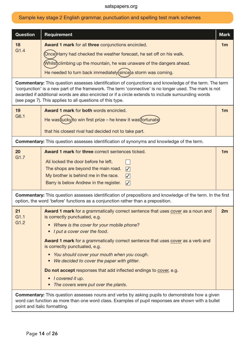| <b>Question</b> | Requirement                                                                                                                                                                                                                                                                                                                                                                               | <b>Mark</b>    |
|-----------------|-------------------------------------------------------------------------------------------------------------------------------------------------------------------------------------------------------------------------------------------------------------------------------------------------------------------------------------------------------------------------------------------|----------------|
| 18<br>G1.4      | Award 1 mark for all three conjunctions encircled.                                                                                                                                                                                                                                                                                                                                        | 1 <sub>m</sub> |
|                 | Once)Harry had checked the weather forecast, he set off on his walk.                                                                                                                                                                                                                                                                                                                      |                |
|                 | Whilst)climbing up the mountain, he was unaware of the dangers ahead.                                                                                                                                                                                                                                                                                                                     |                |
|                 | He needed to turn back immediately (since) a storm was coming.                                                                                                                                                                                                                                                                                                                            |                |
|                 | <b>Commentary:</b> This question assesses identification of conjunctions and knowledge of the term. The term<br>'conjunction' is a new part of the framework. The term 'connective' is no longer used. The mark is not<br>awarded if additional words are also encircled or if a circle extends to include surrounding words<br>(see page 7). This applies to all questions of this type. |                |
| 19              | Award 1 mark for both words encircled.                                                                                                                                                                                                                                                                                                                                                    | 1 <sub>m</sub> |
| G6.1            | He was (lucky) to win first prize - he knew it was (fortunate)                                                                                                                                                                                                                                                                                                                            |                |
|                 | that his closest rival had decided not to take part.                                                                                                                                                                                                                                                                                                                                      |                |
|                 | <b>Commentary:</b> This question assesses identification of synonyms and knowledge of the term.                                                                                                                                                                                                                                                                                           |                |
| 20              | <b>Award 1 mark for three correct sentences ticked.</b>                                                                                                                                                                                                                                                                                                                                   | 1 <sub>m</sub> |
| G1.7            | Ali locked the door before he left.                                                                                                                                                                                                                                                                                                                                                       |                |
|                 | The shops are beyond the main road.<br>$ \checkmark $                                                                                                                                                                                                                                                                                                                                     |                |
|                 | My brother is behind me in the race.<br>$ \mathcal{J} $<br>Barry is below Andrew in the register.<br>$ \mathcal{V} $                                                                                                                                                                                                                                                                      |                |
|                 |                                                                                                                                                                                                                                                                                                                                                                                           |                |
|                 | <b>Commentary:</b> This question assesses identification of prepositions and knowledge of the term. In the first<br>option, the word 'before' functions as a conjunction rather than a preposition.                                                                                                                                                                                       |                |
| 21<br>G1.1      | Award 1 mark for a grammatically correct sentence that uses cover as a noun and<br>is correctly punctuated, e.g.                                                                                                                                                                                                                                                                          | 2m             |
| G1.2            | Where is the cover for your mobile phone?<br>$\bullet$                                                                                                                                                                                                                                                                                                                                    |                |
|                 | I put a cover over the food.<br>$\bullet$                                                                                                                                                                                                                                                                                                                                                 |                |
|                 | <b>Award 1 mark</b> for a grammatically correct sentence that uses cover as a verb and<br>is correctly punctuated, e.g.                                                                                                                                                                                                                                                                   |                |
|                 | You should cover your mouth when you cough.<br>$\bullet$<br>We decided to cover the paper with glitter.<br>$\bullet$                                                                                                                                                                                                                                                                      |                |
|                 | Do not accept responses that add inflected endings to cover, e.g.                                                                                                                                                                                                                                                                                                                         |                |
|                 | I covered it up.<br>$\bullet$                                                                                                                                                                                                                                                                                                                                                             |                |
|                 | The covers were put over the plants.                                                                                                                                                                                                                                                                                                                                                      |                |
|                 | <b>Commentary:</b> This question assesses nouns and verbs by asking pupils to demonstrate how a given<br>word can function as more than one word class. Examples of pupil responses are shown with a bullet<br>point and italic formatting.                                                                                                                                               |                |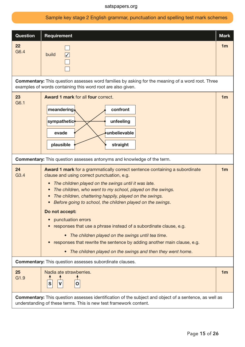| <b>Question</b>                                                                                                                                                                   | <b>Requirement</b>                                                                                                                                                                                                                                                                                                                                                                                                                                                                                                                                                                                                                                                                                | <b>Mark</b>    |  |  |
|-----------------------------------------------------------------------------------------------------------------------------------------------------------------------------------|---------------------------------------------------------------------------------------------------------------------------------------------------------------------------------------------------------------------------------------------------------------------------------------------------------------------------------------------------------------------------------------------------------------------------------------------------------------------------------------------------------------------------------------------------------------------------------------------------------------------------------------------------------------------------------------------------|----------------|--|--|
| 22<br>G6.4                                                                                                                                                                        | build                                                                                                                                                                                                                                                                                                                                                                                                                                                                                                                                                                                                                                                                                             | 1 <sub>m</sub> |  |  |
|                                                                                                                                                                                   | <b>Commentary:</b> This question assesses word families by asking for the meaning of a word root. Three<br>examples of words containing this word root are also given.                                                                                                                                                                                                                                                                                                                                                                                                                                                                                                                            |                |  |  |
| 23<br>G6.1                                                                                                                                                                        | Award 1 mark for all four correct.<br>confront<br>meandering<br>unfeeling<br>sympathetic<br>unbelievable<br>evade<br>plausible<br>straight                                                                                                                                                                                                                                                                                                                                                                                                                                                                                                                                                        | 1 <sub>m</sub> |  |  |
|                                                                                                                                                                                   | <b>Commentary:</b> This question assesses antonyms and knowledge of the term.                                                                                                                                                                                                                                                                                                                                                                                                                                                                                                                                                                                                                     |                |  |  |
| 24<br>G3.4                                                                                                                                                                        | <b>Award 1 mark</b> for a grammatically correct sentence containing a subordinate<br>1 <sub>m</sub><br>clause and using correct punctuation, e.g.<br>The children played on the swings until it was late.<br>$\bullet$<br>The children, who went to my school, played on the swings.<br>The children, chattering happily, played on the swings.<br>$\bullet$<br>Before going to school, the children played on the swings.<br>$\bullet$<br>Do not accept:<br>punctuation errors<br>responses that use a phrase instead of a subordinate clause, e.g.<br>The children played on the swings until tea time.<br>$\bullet$<br>responses that rewrite the sentence by adding another main clause, e.g. |                |  |  |
| The children played on the swings and then they went home.<br><b>Commentary:</b> This question assesses subordinate clauses.                                                      |                                                                                                                                                                                                                                                                                                                                                                                                                                                                                                                                                                                                                                                                                                   |                |  |  |
| 25<br>G1.9                                                                                                                                                                        | Nadia ate strawberries.<br>1 <sub>m</sub><br>v<br>S<br>O                                                                                                                                                                                                                                                                                                                                                                                                                                                                                                                                                                                                                                          |                |  |  |
| <b>Commentary:</b> This question assesses identification of the subject and object of a sentence, as well as<br>understanding of these terms. This is new test framework content. |                                                                                                                                                                                                                                                                                                                                                                                                                                                                                                                                                                                                                                                                                                   |                |  |  |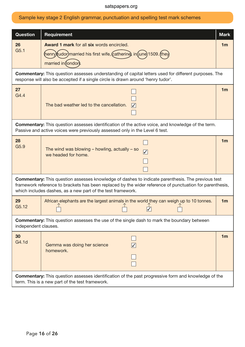| Question                                                                                                                                                                                                                                                                            | <b>Requirement</b>                                                                                                                                                                              | <b>Mark</b>    |  |  |
|-------------------------------------------------------------------------------------------------------------------------------------------------------------------------------------------------------------------------------------------------------------------------------------|-------------------------------------------------------------------------------------------------------------------------------------------------------------------------------------------------|----------------|--|--|
| 26<br>G <sub>5.1</sub>                                                                                                                                                                                                                                                              | <b>Award 1 mark for all six words encircled.</b><br>henry)(tudor)married his first wife, (catherine), in(june) 1509. (they<br>married in(londor).                                               | 1 <sub>m</sub> |  |  |
|                                                                                                                                                                                                                                                                                     | <b>Commentary:</b> This question assesses understanding of capital letters used for different purposes. The<br>response will also be accepted if a single circle is drawn around 'henry tudor'. |                |  |  |
| 27<br>G4.4                                                                                                                                                                                                                                                                          | The bad weather led to the cancellation.<br>$\boldsymbol{V}$                                                                                                                                    | 1 <sub>m</sub> |  |  |
|                                                                                                                                                                                                                                                                                     | <b>Commentary:</b> This question assesses identification of the active voice, and knowledge of the term.<br>Passive and active voices were previously assessed only in the Level 6 test.        |                |  |  |
| 28<br>G5.9                                                                                                                                                                                                                                                                          | The wind was blowing $-$ howling, actually $-$ so<br>$\overline{\mathcal{V}}$<br>we headed for home.                                                                                            | 1 <sub>m</sub> |  |  |
| <b>Commentary:</b> This question assesses knowledge of dashes to indicate parenthesis. The previous test<br>framework reference to brackets has been replaced by the wider reference of punctuation for parenthesis,<br>which includes dashes, as a new part of the test framework. |                                                                                                                                                                                                 |                |  |  |
| 29<br>G <sub>5</sub> .12                                                                                                                                                                                                                                                            | African elephants are the largest animals in the world they can weigh up to 10 tonnes.                                                                                                          | 1 <sub>m</sub> |  |  |
| <b>Commentary:</b> This question assesses the use of the single dash to mark the boundary between<br>independent clauses.                                                                                                                                                           |                                                                                                                                                                                                 |                |  |  |
| 30<br>G4.1d                                                                                                                                                                                                                                                                         | Gemma was doing her science<br>$\checkmark$<br>homework.                                                                                                                                        | 1 <sub>m</sub> |  |  |
| <b>Commentary:</b> This question assesses identification of the past progressive form and knowledge of the<br>term. This is a new part of the test framework.                                                                                                                       |                                                                                                                                                                                                 |                |  |  |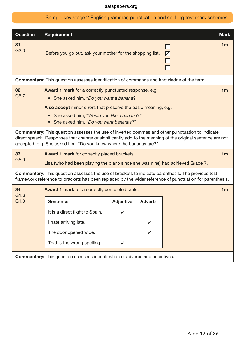| <b>Question</b>                                                                                                                                                                                                                                                                                                      | <b>Requirement</b>                                                                                                                                                                                                   |                  |               | <b>Mark</b>    |                |
|----------------------------------------------------------------------------------------------------------------------------------------------------------------------------------------------------------------------------------------------------------------------------------------------------------------------|----------------------------------------------------------------------------------------------------------------------------------------------------------------------------------------------------------------------|------------------|---------------|----------------|----------------|
| 31<br>G2.3                                                                                                                                                                                                                                                                                                           | Before you go out, ask your mother for the shopping list.<br>$\overline{\mathcal{U}}$                                                                                                                                |                  |               | 1 <sub>m</sub> |                |
|                                                                                                                                                                                                                                                                                                                      | <b>Commentary:</b> This question assesses identification of commands and knowledge of the term.                                                                                                                      |                  |               |                |                |
| 32<br><b>Award 1 mark</b> for a correctly punctuated response, e.g.<br>G5.7<br>She asked him, "Do you want a banana?"<br>$\bullet$<br>Also accept minor errors that preserve the basic meaning, e.g.<br>She asked him, "Would you like a banana?"<br>$\bullet$<br>She asked him, "Do you want bananas?"<br>$\bullet$ |                                                                                                                                                                                                                      |                  |               | 1 <sub>m</sub> |                |
| <b>Commentary:</b> This question assesses the use of inverted commas and other punctuation to indicate<br>direct speech. Responses that change or significantly add to the meaning of the original sentence are not<br>accepted, e.g. She asked him, "Do you know where the bananas are?".                           |                                                                                                                                                                                                                      |                  |               |                |                |
| 33<br>G5.9                                                                                                                                                                                                                                                                                                           | <b>Award 1 mark</b> for correctly placed brackets.<br>Lisa (who had been playing the piano since she was nine) had achieved Grade 7.                                                                                 |                  |               | 1 <sub>m</sub> |                |
|                                                                                                                                                                                                                                                                                                                      | <b>Commentary:</b> This question assesses the use of brackets to indicate parenthesis. The previous test<br>framework reference to brackets has been replaced by the wider reference of punctuation for parenthesis. |                  |               |                |                |
| 34<br>G1.6                                                                                                                                                                                                                                                                                                           | <b>Award 1 mark</b> for a correctly completed table.                                                                                                                                                                 |                  |               |                | 1 <sub>m</sub> |
| G1.3                                                                                                                                                                                                                                                                                                                 | <b>Sentence</b>                                                                                                                                                                                                      | <b>Adjective</b> | <b>Adverb</b> |                |                |
|                                                                                                                                                                                                                                                                                                                      | It is a direct flight to Spain.                                                                                                                                                                                      | $\checkmark$     |               |                |                |
|                                                                                                                                                                                                                                                                                                                      | I hate arriving late.                                                                                                                                                                                                |                  | $\checkmark$  |                |                |
|                                                                                                                                                                                                                                                                                                                      | The door opened wide.                                                                                                                                                                                                |                  | $\checkmark$  |                |                |
|                                                                                                                                                                                                                                                                                                                      | That is the wrong spelling.                                                                                                                                                                                          | ✓                |               |                |                |
| <b>Commentary:</b> This question assesses identification of adverbs and adjectives.                                                                                                                                                                                                                                  |                                                                                                                                                                                                                      |                  |               |                |                |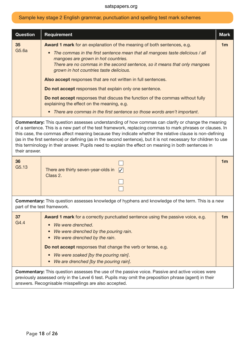| <b>Question</b>                                                                                                                                                                                                                                                                                                                                                                                                                                                                                                                                                          | Requirement                                                                                                                                                                                                                                                                                                                                                                                                                                                                                                                                                                                                                                                                           | <b>Mark</b>    |  |
|--------------------------------------------------------------------------------------------------------------------------------------------------------------------------------------------------------------------------------------------------------------------------------------------------------------------------------------------------------------------------------------------------------------------------------------------------------------------------------------------------------------------------------------------------------------------------|---------------------------------------------------------------------------------------------------------------------------------------------------------------------------------------------------------------------------------------------------------------------------------------------------------------------------------------------------------------------------------------------------------------------------------------------------------------------------------------------------------------------------------------------------------------------------------------------------------------------------------------------------------------------------------------|----------------|--|
| 35<br>G5.6a                                                                                                                                                                                                                                                                                                                                                                                                                                                                                                                                                              | Award 1 mark for an explanation of the meaning of both sentences, e.g.<br>The commas in the first sentence mean that all mangoes taste delicious / all<br>$\bullet$<br>mangoes are grown in hot countries.<br>There are no commas in the second sentence, so it means that only mangoes<br>grown in hot countries taste delicious.<br>Also accept responses that are not written in full sentences.<br>Do not accept responses that explain only one sentence.<br>Do not accept responses that discuss the function of the commas without fully<br>explaining the effect on the meaning, e.g.<br>There are commas in the first sentence so those words aren't important.<br>$\bullet$ | 1 <sub>m</sub> |  |
| <b>Commentary:</b> This question assesses understanding of how commas can clarify or change the meaning<br>of a sentence. This is a new part of the test framework, replacing commas to mark phrases or clauses. In<br>this case, the commas affect meaning because they indicate whether the relative clause is non-defining<br>(as in the first sentence) or defining (as in the second sentence), but it is not necessary for children to use<br>this terminology in their answer. Pupils need to explain the effect on meaning in both sentences in<br>their answer. |                                                                                                                                                                                                                                                                                                                                                                                                                                                                                                                                                                                                                                                                                       |                |  |
| 36<br>G <sub>5</sub> .13                                                                                                                                                                                                                                                                                                                                                                                                                                                                                                                                                 | There are thirty seven-year-olds in<br>$\sqrt{}$<br>Class 2.                                                                                                                                                                                                                                                                                                                                                                                                                                                                                                                                                                                                                          | 1 <sub>m</sub> |  |
|                                                                                                                                                                                                                                                                                                                                                                                                                                                                                                                                                                          | <b>Commentary:</b> This question assesses knowledge of hyphens and knowledge of the term. This is a new<br>part of the test framework.                                                                                                                                                                                                                                                                                                                                                                                                                                                                                                                                                |                |  |
| <b>Award 1 mark</b> for a correctly punctuated sentence using the passive voice, e.g.<br>37<br>1 <sub>m</sub><br>G4.4<br>We were drenched.<br>We were drenched by the pouring rain.<br>We were drenched by the rain.<br>Do not accept responses that change the verb or tense, e.g.<br>We were soaked [by the pouring rain].<br>$\bullet$<br>We are drenched [by the pouring rain].<br>$\bullet$                                                                                                                                                                         |                                                                                                                                                                                                                                                                                                                                                                                                                                                                                                                                                                                                                                                                                       |                |  |
| <b>Commentary:</b> This question assesses the use of the passive voice. Passive and active voices were<br>previously assessed only in the Level 6 test. Pupils may omit the preposition phrase (agent) in their<br>answers. Recognisable misspellings are also accepted.                                                                                                                                                                                                                                                                                                 |                                                                                                                                                                                                                                                                                                                                                                                                                                                                                                                                                                                                                                                                                       |                |  |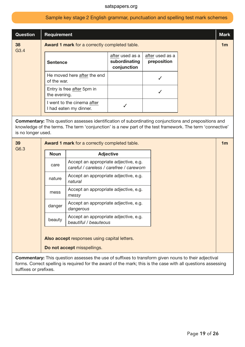| <b>Question</b>                                                                                                                                                                                                                                     | <b>Requirement</b>                                                          |                                                                                   |                                                 | <b>Mark</b>                    |                |                |
|-----------------------------------------------------------------------------------------------------------------------------------------------------------------------------------------------------------------------------------------------------|-----------------------------------------------------------------------------|-----------------------------------------------------------------------------------|-------------------------------------------------|--------------------------------|----------------|----------------|
| 38<br>G3.4                                                                                                                                                                                                                                          | <b>Award 1 mark</b> for a correctly completed table.                        |                                                                                   |                                                 |                                | 1 <sub>m</sub> |                |
|                                                                                                                                                                                                                                                     | <b>Sentence</b>                                                             |                                                                                   | after used as a<br>subordinating<br>conjunction | after used as a<br>preposition |                |                |
|                                                                                                                                                                                                                                                     | of the war.                                                                 | He moved here after the end                                                       |                                                 | ✓                              |                |                |
|                                                                                                                                                                                                                                                     | the evening.                                                                | Entry is free after 5pm in                                                        |                                                 | ✓                              |                |                |
|                                                                                                                                                                                                                                                     |                                                                             | I went to the cinema after<br>I had eaten my dinner.                              | ✓                                               |                                |                |                |
| <b>Commentary:</b> This question assesses identification of subordinating conjunctions and prepositions and<br>knowledge of the terms. The term 'conjunction' is a new part of the test framework. The term 'connective'<br>is no longer used.      |                                                                             |                                                                                   |                                                 |                                |                |                |
| 39<br>G6.3                                                                                                                                                                                                                                          |                                                                             | Award 1 mark for a correctly completed table.                                     |                                                 |                                |                | 1 <sub>m</sub> |
|                                                                                                                                                                                                                                                     | <b>Noun</b>                                                                 |                                                                                   | <b>Adjective</b>                                |                                |                |                |
|                                                                                                                                                                                                                                                     | care                                                                        | Accept an appropriate adjective, e.g.<br>careful / careless / carefree / careworn |                                                 |                                |                |                |
|                                                                                                                                                                                                                                                     | nature                                                                      | Accept an appropriate adjective, e.g.<br>natural                                  |                                                 |                                |                |                |
|                                                                                                                                                                                                                                                     | mess                                                                        | Accept an appropriate adjective, e.g.<br>messy                                    |                                                 |                                |                |                |
|                                                                                                                                                                                                                                                     | danger                                                                      | Accept an appropriate adjective, e.g.<br>dangerous                                |                                                 |                                |                |                |
|                                                                                                                                                                                                                                                     | beauty                                                                      | Accept an appropriate adjective, e.g.<br>beautiful / beauteous                    |                                                 |                                |                |                |
|                                                                                                                                                                                                                                                     | Also accept responses using capital letters.<br>Do not accept misspellings. |                                                                                   |                                                 |                                |                |                |
| <b>Commentary:</b> This question assesses the use of suffixes to transform given nouns to their adjectival<br>forms. Correct spelling is required for the award of the mark; this is the case with all questions assessing<br>suffixes or prefixes. |                                                                             |                                                                                   |                                                 |                                |                |                |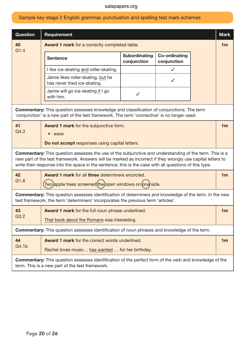| <b>Question</b>                                                                                                                                                  | <b>Requirement</b>                                                                                                                                                                                                                                                                                                                    |                                     |                              | <b>Mark</b>    |                |
|------------------------------------------------------------------------------------------------------------------------------------------------------------------|---------------------------------------------------------------------------------------------------------------------------------------------------------------------------------------------------------------------------------------------------------------------------------------------------------------------------------------|-------------------------------------|------------------------------|----------------|----------------|
| 40<br>G1.4                                                                                                                                                       | <b>Award 1 mark</b> for a correctly completed table.                                                                                                                                                                                                                                                                                  |                                     |                              |                | 1 <sub>m</sub> |
|                                                                                                                                                                  | <b>Sentence</b>                                                                                                                                                                                                                                                                                                                       | <b>Subordinating</b><br>conjunction | Co-ordinating<br>conjunction |                |                |
|                                                                                                                                                                  | I like ice-skating and roller-skating.                                                                                                                                                                                                                                                                                                |                                     | $\checkmark$                 |                |                |
|                                                                                                                                                                  | Jamie likes roller-skating, but he<br>has never tried ice-skating.                                                                                                                                                                                                                                                                    |                                     | ✓                            |                |                |
|                                                                                                                                                                  | Jamie will go ice-skating if I go<br>with him.                                                                                                                                                                                                                                                                                        | $\checkmark$                        |                              |                |                |
|                                                                                                                                                                  | <b>Commentary:</b> This question assesses knowledge and classification of conjunctions. The term<br>'conjunction' is a new part of the test framework. The term 'connective' is no longer used.                                                                                                                                       |                                     |                              |                |                |
| 41<br>G4.3                                                                                                                                                       | <b>Award 1 mark</b> for the subjunctive form.<br>were<br>$\bullet$                                                                                                                                                                                                                                                                    |                                     |                              | 1 <sub>m</sub> |                |
|                                                                                                                                                                  | Do not accept responses using capital letters.                                                                                                                                                                                                                                                                                        |                                     |                              |                |                |
|                                                                                                                                                                  | <b>Commentary:</b> This question assesses the use of the subjunctive and understanding of the term. This is a<br>new part of the test framework. Answers will be marked as incorrect if they wrongly use capital letters to<br>write their response into the space in the sentence; this is the case with all questions of this type. |                                     |                              |                |                |
| 42<br>G1.8                                                                                                                                                       | Award 1 mark for all three determiners encircled.<br>(Two)apple trees screened(the)open windows on(one) side.                                                                                                                                                                                                                         |                                     |                              | 1 <sub>m</sub> |                |
|                                                                                                                                                                  | <b>Commentary:</b> This question assesses identification of determiners and knowledge of the term. In the new<br>test framework, the term 'determiners' incorporates the previous term 'articles'.                                                                                                                                    |                                     |                              |                |                |
| 43                                                                                                                                                               | Award 1 mark for the full noun phrase underlined.                                                                                                                                                                                                                                                                                     |                                     |                              |                |                |
| G3.2                                                                                                                                                             | That book about the Romans was interesting.                                                                                                                                                                                                                                                                                           |                                     |                              |                |                |
| <b>Commentary:</b> This question assesses identification of noun phrases and knowledge of the term.                                                              |                                                                                                                                                                                                                                                                                                                                       |                                     |                              |                |                |
| 44                                                                                                                                                               | <b>Award 1 mark</b> for the correct words underlined.                                                                                                                                                                                                                                                                                 |                                     |                              |                | 1 <sub>m</sub> |
| G4.1b                                                                                                                                                            | Rachel loves music has wanted  for her birthday.                                                                                                                                                                                                                                                                                      |                                     |                              |                |                |
| <b>Commentary:</b> This question assesses identification of the perfect form of the verb and knowledge of the<br>term. This is a new part of the test framework. |                                                                                                                                                                                                                                                                                                                                       |                                     |                              |                |                |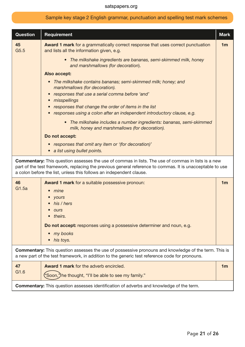| <b>Question</b>                                                                                                                                                                                               | <b>Requirement</b>                                                                                                                                                                                                                                                                            | <b>Mark</b>    |  |  |
|---------------------------------------------------------------------------------------------------------------------------------------------------------------------------------------------------------------|-----------------------------------------------------------------------------------------------------------------------------------------------------------------------------------------------------------------------------------------------------------------------------------------------|----------------|--|--|
| 45<br>G <sub>5.5</sub>                                                                                                                                                                                        | <b>Award 1 mark</b> for a grammatically correct response that uses correct punctuation<br>and lists all the information given, e.g.                                                                                                                                                           | 1 <sub>m</sub> |  |  |
|                                                                                                                                                                                                               | • The milkshake ingredients are bananas, semi-skimmed milk, honey<br>and marshmallows (for decoration).                                                                                                                                                                                       |                |  |  |
|                                                                                                                                                                                                               | Also accept:                                                                                                                                                                                                                                                                                  |                |  |  |
|                                                                                                                                                                                                               | The milkshake contains bananas; semi-skimmed milk; honey; and<br>$\bullet$<br>marshmallows (for decoration).                                                                                                                                                                                  |                |  |  |
|                                                                                                                                                                                                               | responses that use a serial comma before 'and'<br>misspellings                                                                                                                                                                                                                                |                |  |  |
|                                                                                                                                                                                                               | responses that change the order of items in the list<br>responses using a colon after an independent introductory clause, e.g.                                                                                                                                                                |                |  |  |
|                                                                                                                                                                                                               | • The milkshake includes a number ingredients: bananas, semi-skimmed<br>milk, honey and marshmallows (for decoration).                                                                                                                                                                        |                |  |  |
|                                                                                                                                                                                                               | Do not accept:                                                                                                                                                                                                                                                                                |                |  |  |
|                                                                                                                                                                                                               | responses that omit any item or '(for decoration)'<br>$\bullet$<br>• a list using bullet points.                                                                                                                                                                                              |                |  |  |
|                                                                                                                                                                                                               | <b>Commentary:</b> This question assesses the use of commas in lists. The use of commas in lists is a new<br>part of the test framework, replacing the previous general reference to commas. It is unacceptable to use<br>a colon before the list, unless this follows an independent clause. |                |  |  |
| 46                                                                                                                                                                                                            | <b>Award 1 mark</b> for a suitable possessive pronoun:                                                                                                                                                                                                                                        | 1 <sub>m</sub> |  |  |
| G1.5a                                                                                                                                                                                                         | $\bullet$ mine                                                                                                                                                                                                                                                                                |                |  |  |
|                                                                                                                                                                                                               | yours<br>his / hers                                                                                                                                                                                                                                                                           |                |  |  |
|                                                                                                                                                                                                               | ours                                                                                                                                                                                                                                                                                          |                |  |  |
|                                                                                                                                                                                                               | theirs.<br>$\bullet$                                                                                                                                                                                                                                                                          |                |  |  |
|                                                                                                                                                                                                               | Do not accept: responses using a possessive determiner and noun, e.g.<br>my books                                                                                                                                                                                                             |                |  |  |
|                                                                                                                                                                                                               | his toys.                                                                                                                                                                                                                                                                                     |                |  |  |
| <b>Commentary:</b> This question assesses the use of possessive pronouns and knowledge of the term. This is<br>a new part of the test framework, in addition to the generic test reference code for pronouns. |                                                                                                                                                                                                                                                                                               |                |  |  |
| 47                                                                                                                                                                                                            | Award 1 mark for the adverb encircled.                                                                                                                                                                                                                                                        | 1 <sub>m</sub> |  |  |
| G1.6                                                                                                                                                                                                          | "Soon,")he thought, "I'll be able to see my family."                                                                                                                                                                                                                                          |                |  |  |
| <b>Commentary:</b> This question assesses identification of adverbs and knowledge of the term.                                                                                                                |                                                                                                                                                                                                                                                                                               |                |  |  |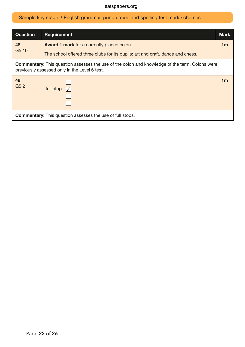| <b>Question</b>                                                  | <b>Mark</b><br>Requirement                                                                                                                             |                |  |  |
|------------------------------------------------------------------|--------------------------------------------------------------------------------------------------------------------------------------------------------|----------------|--|--|
| 48<br>G <sub>5.10</sub>                                          | <b>Award 1 mark</b> for a correctly placed colon.<br>The school offered three clubs for its pupils: art and craft, dance and chess.                    | 1 <sub>m</sub> |  |  |
|                                                                  | <b>Commentary:</b> This question assesses the use of the colon and knowledge of the term. Colons were<br>previously assessed only in the Level 6 test. |                |  |  |
| 49<br>G5.2<br>full stop<br>$\vert\mathcal{V}\vert$               |                                                                                                                                                        | 1 <sub>m</sub> |  |  |
| <b>Commentary:</b> This question assesses the use of full stops. |                                                                                                                                                        |                |  |  |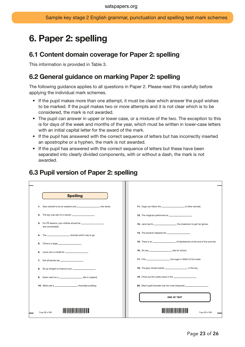## <span id="page-22-0"></span>6. Paper 2: spelling

### 6.1 Content domain coverage for Paper 2: spelling

This information is provided in Table 3.

### 6.2 General guidance on marking Paper 2: spelling

The following guidance applies to all questions in Paper 2. Please read this carefully before applying the individual mark schemes.

- If the pupil makes more than one attempt, it must be clear which answer the pupil wishes to be marked. If the pupil makes two or more attempts and it is not clear which is to be considered, the mark is not awarded.
- The pupil can answer in upper or lower case, or a mixture of the two. The exception to this is for days of the week and months of the year, which must be written in lower-case letters with an initial capital letter for the award of the mark.
- If the pupil has answered with the correct sequence of letters but has incorrectly inserted an apostrophe or a hyphen, the mark is not awarded.
- If the pupil has answered with the correct sequence of letters but these have been separated into clearly divided components, with or without a dash, the mark is not awarded.

|    | <b>Spelling</b>                                                  |                                                                                  |
|----|------------------------------------------------------------------|----------------------------------------------------------------------------------|
|    |                                                                  |                                                                                  |
| 2. | The spy was sent on a secret ____________________.               | 12. The magician performed an _______________________                            |
|    | and comfortable.                                                 | 13. Jane had to _________________________ the cloakroom to get her gloves.       |
|    | 4. The __________________________ showed which way to go.        | 14. The skydiver released her ______________________                             |
|    | <b>5.</b> China is a large <u>_____________________</u> .        |                                                                                  |
|    | 6. Laura won a medal for ________________________.               |                                                                                  |
|    | <b>7.</b> Not all berries are                                    | 17. First, ___________________________the sugar in 300ml of hot water.           |
| 8. | Sit up straight to improve your ______________________.          | 18. The grey clouds looked _________________________ in the sky.                 |
|    | 9. Karen went on a ___________________________ ride in Lapland.  | 19. Omar put the cutlery back in the _____________________.                      |
|    | 10. Misha ate a _____________________________ chocolate pudding. | 20. Ellen's gold bracelet was her most treasured _______________________________ |
|    |                                                                  | <b>END OF TEST</b>                                                               |
|    |                                                                  |                                                                                  |

### 6.3 Pupil version of Paper 2: spelling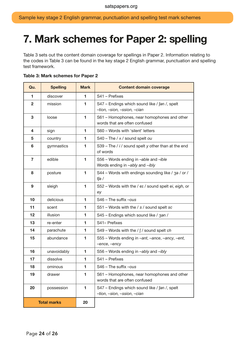## <span id="page-23-0"></span>7. Mark schemes for Paper 2: spelling

Table 3 sets out the content domain coverage for spellings in Paper 2. Information relating to the codes in Table 3 can be found in the key stage 2 English grammar, punctuation and spelling test framework.

#### Table 3: Mark schemes for Paper 2

| Qu.                | <b>Spelling</b> | <b>Mark</b> | <b>Content domain coverage</b>                                               |
|--------------------|-----------------|-------------|------------------------------------------------------------------------------|
| 1                  | discover        | 1           | S41 - Prefixes                                                               |
| $\overline{2}$     | mission         | 1           | S47 - Endings which sound like / [an /, spelt<br>-tion, -sion, -ssion, -cian |
| 3                  | loose           | 1           | S61 - Homophones, near homophones and other<br>words that are often confused |
| 4                  | sign            | 1           | S60 - Words with 'silent' letters                                            |
| 5                  | country         | 1           | S40 - The / ^ / sound spelt ou                                               |
| 6                  | gymnastics      | 1           | S39 - The / i / sound spelt y other than at the end<br>of words              |
| $\overline{7}$     | edible          | 1           | S56 - Words ending in -able and -ible<br>Words ending in -ably and -ibly     |
| 8                  | posture         | 1           | S44 - Words with endings sounding like / 30 / or /<br>$t$ [ $\theta$ /       |
| 9                  | sleigh          | 1           | S52 - Words with the / et / sound spelt ei, eigh, or<br>ey                   |
| 10                 | delicious       | 1           | S46 - The suffix -ous                                                        |
| 11                 | scent           | 1           | S51 - Words with the / s / sound spelt sc                                    |
| 12                 | illusion        | 1           | S45 - Endings which sound like / 3an /                                       |
| 13                 | re-enter        | 1           | S41- Prefixes                                                                |
| 14                 | parachute       | 1           | S49 – Words with the / ∫ / sound spelt ch                                    |
| 15                 | abundance       | 1           | S55 - Words ending in -ant, -ance, -ancy, -ent,<br>-ence, -ency              |
| 16                 | unavoidably     | 1           | S56 - Words ending in -ably and -ibly                                        |
| 17                 | dissolve        | 1           | S41 - Prefixes                                                               |
| 18                 | ominous         | 1           | S46 - The suffix -ous                                                        |
| 19                 | drawer          | 1           | S61 - Homophones, near homophones and other<br>words that are often confused |
| 20                 | possession      | 1           | S47 - Endings which sound like / fan /, spelt<br>-tion, -sion, -ssion, -cian |
| <b>Total marks</b> |                 | 20          |                                                                              |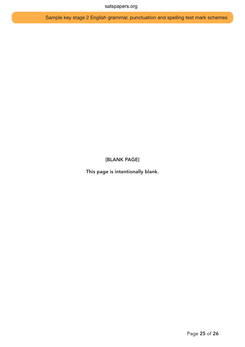[BLANK PAGE]

This page is intentionally blank.